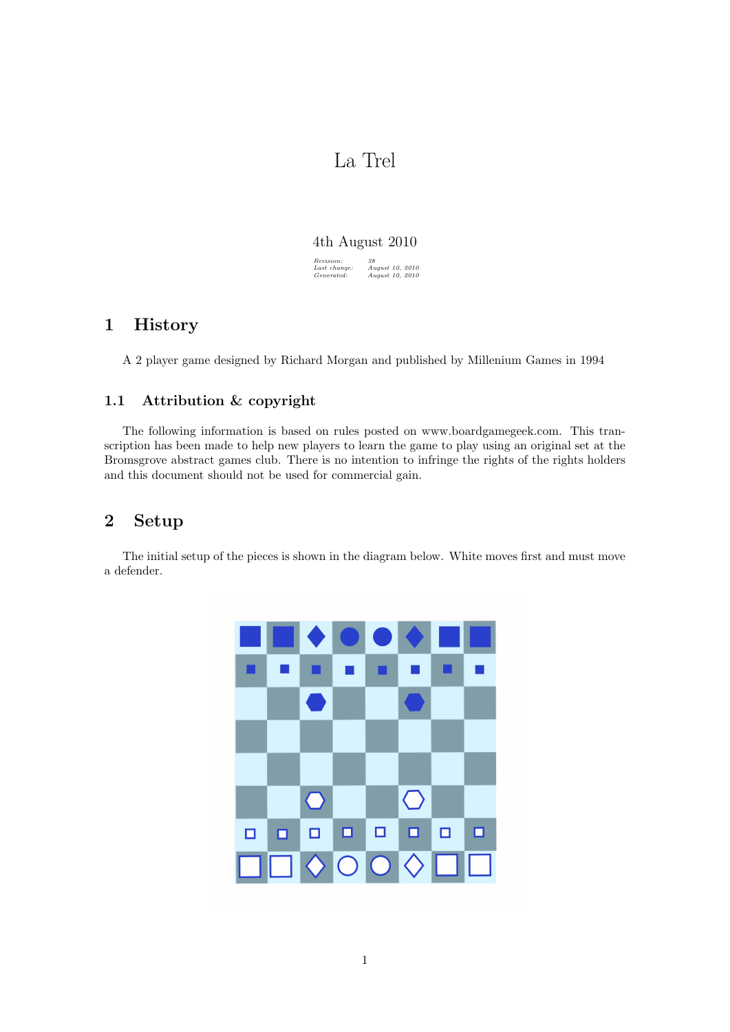# La Trel

#### 4th August 2010

 $\begin{array}{l} \textit{Revision:} \\ \textit{Last change} \\ \textit{Generaled:} \end{array}$ Last change: August 10, 2010 Generated: August 10, 2010

# 1 History

A 2 player game designed by Richard Morgan and published by Millenium Games in 1994

### 1.1 Attribution & copyright

The following information is based on rules posted on www.boardgamegeek.com. This transcription has been made to help new players to learn the game to play using an original set at the Bromsgrove abstract games club. There is no intention to infringe the rights of the rights holders and this document should not be used for commercial gain.

# 2 Setup

The initial setup of the pieces is shown in the diagram below. White moves first and must move a defender.

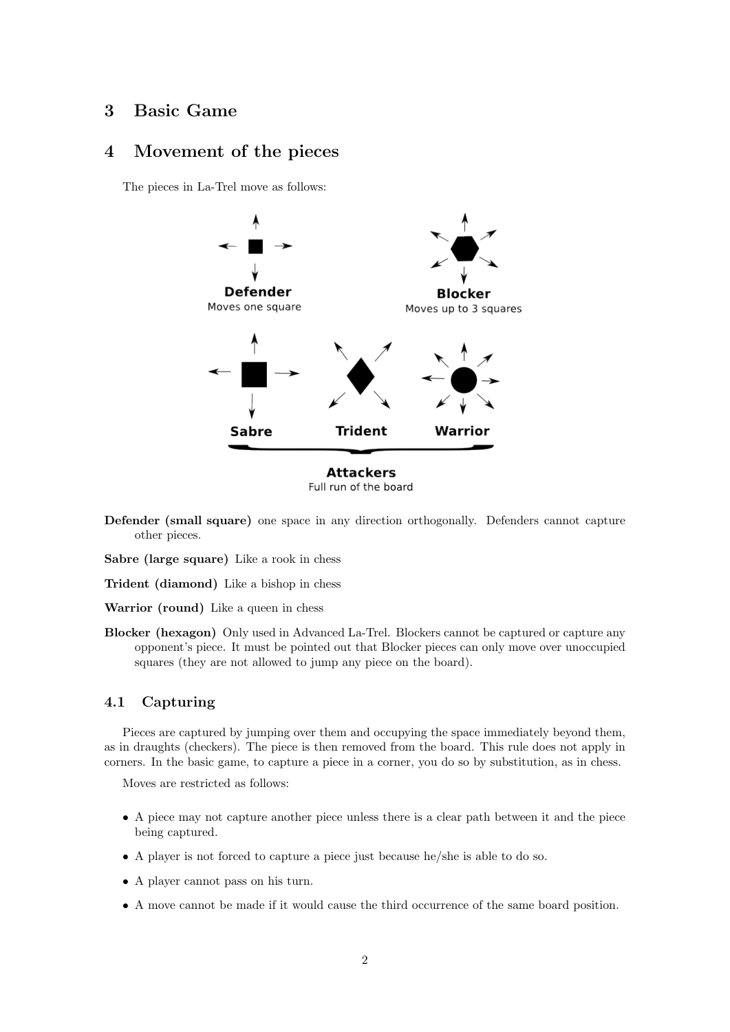## 3 Basic Game

#### 4 Movement of the pieces

The pieces in La-Trel move as follows:



Defender (small square) one space in any direction orthogonally. Defenders cannot capture other pieces.

Sabre (large square) Like a rook in chess

Trident (diamond) Like a bishop in chess

Warrior (round) Like a queen in chess

Blocker (hexagon) Only used in Advanced La-Trel. Blockers cannot be captured or capture any opponent's piece. It must be pointed out that Blocker pieces can only move over unoccupied squares (they are not allowed to jump any piece on the board).

#### 4.1 Capturing

Pieces are captured by jumping over them and occupying the space immediately beyond them, as in draughts (checkers). The piece is then removed from the board. This rule does not apply in corners. In the basic game, to capture a piece in a corner, you do so by substitution, as in chess.

Moves are restricted as follows:

- A piece may not capture another piece unless there is a clear path between it and the piece being captured.
- A player is not forced to capture a piece just because he/she is able to do so.
- A player cannot pass on his turn.
- A move cannot be made if it would cause the third occurrence of the same board position.